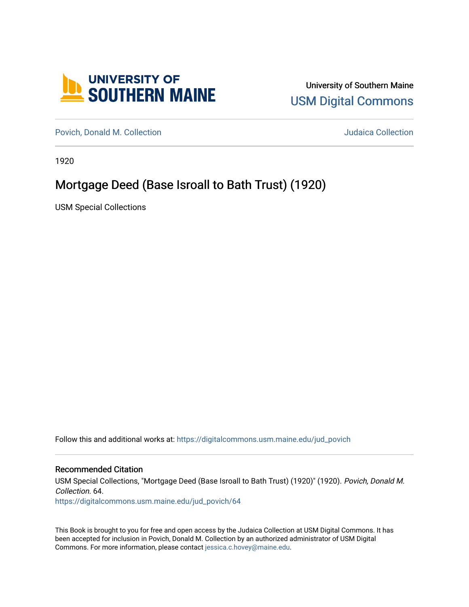

University of Southern Maine [USM Digital Commons](https://digitalcommons.usm.maine.edu/) 

[Povich, Donald M. Collection](https://digitalcommons.usm.maine.edu/jud_povich) **M. Automaker Collection** Judaica Collection

1920

## Mortgage Deed (Base Isroall to Bath Trust) (1920)

USM Special Collections

Follow this and additional works at: [https://digitalcommons.usm.maine.edu/jud\\_povich](https://digitalcommons.usm.maine.edu/jud_povich?utm_source=digitalcommons.usm.maine.edu%2Fjud_povich%2F64&utm_medium=PDF&utm_campaign=PDFCoverPages) 

## Recommended Citation

USM Special Collections, "Mortgage Deed (Base Isroall to Bath Trust) (1920)" (1920). Povich, Donald M. Collection. 64.

[https://digitalcommons.usm.maine.edu/jud\\_povich/64](https://digitalcommons.usm.maine.edu/jud_povich/64?utm_source=digitalcommons.usm.maine.edu%2Fjud_povich%2F64&utm_medium=PDF&utm_campaign=PDFCoverPages)

This Book is brought to you for free and open access by the Judaica Collection at USM Digital Commons. It has been accepted for inclusion in Povich, Donald M. Collection by an authorized administrator of USM Digital Commons. For more information, please contact [jessica.c.hovey@maine.edu.](mailto:ian.fowler@maine.edu)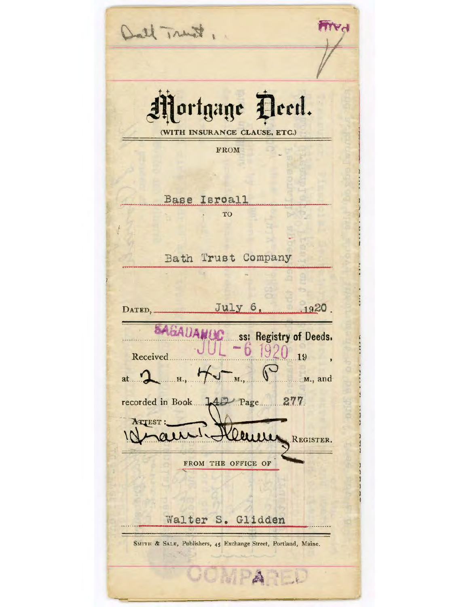1 tours that ortgage Deed. (WITH INSURANCE CLAUSE, ETC.) FROM Base Isroall TO Bath Trust Company July 6,  $.1920.$ DATED, **SAGADAMUC** ss: Registry of Deeds. 920 b  $19$ Received.  $...$  $M_{1},...$ ..........M., and at. H. recorded in Book 142 Page 277 ATTEST: euw REGISTER. FROM THE OFFICE OF Walter S. Glidden SMITH & SALE, Publishers, 45 Exchange Street, Portland, Maine. HALL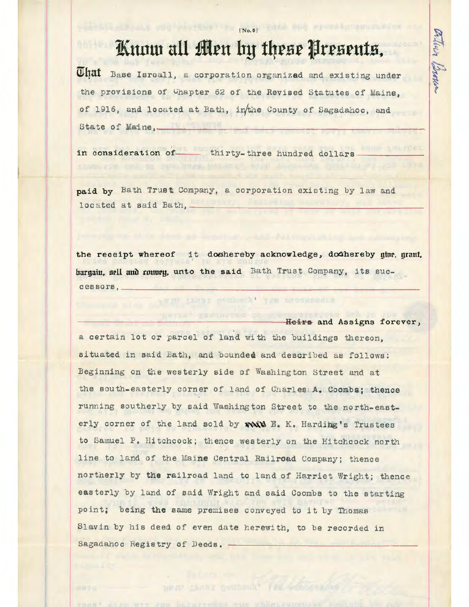## Know all Men by these Presents,

[No.0] 192 Mig Spott A Property

ation Brown

That Base Isroall, a corporation organized and existing under the provisions of Chapter 62 of the Revised Statutes of Maine, of 1916, and located at Bath, inthe County of Sagadahoc, and State of Maine,-

in consideration of- thirty-three hundred dollars

paid by Bath Trust Company, a corporation existing by law and located at said Bath, \_

the receipt whereof it doeshereby acknowledge, doeshereby give, grant, bargain, nell and ronury, unto the said Bath Trust Company, its successors,

that poul al tre naudepedin

Heirs and Assigns forever. a certain lot or parcel of land with the buildings thereon. situated in said Eath, and bounded and described as follows: Beginning on the westerly side of Washington Street and at the south-easterly corner of land of Charles A. Coombs; thence running southerly by said Washington Street to the north-easterly corner of the land sold by main E. K. Harding's Trustees to Samuel P. Hitchcock; thence westerly on the Hitchcock north line to land of the Maine Central Railroad Company; thence northerly by the railroad land to land of Harriet Wright; thence easterly by land of said Wright and said Coombs to the starting point; being the same premises conveyed to it by Thomas Slavin by his deed of even date herewith, to be recorded in Sagadahoc Registry of Deeds. -

BULLION CREATE CONSTRUCT IN PRESCRIPTION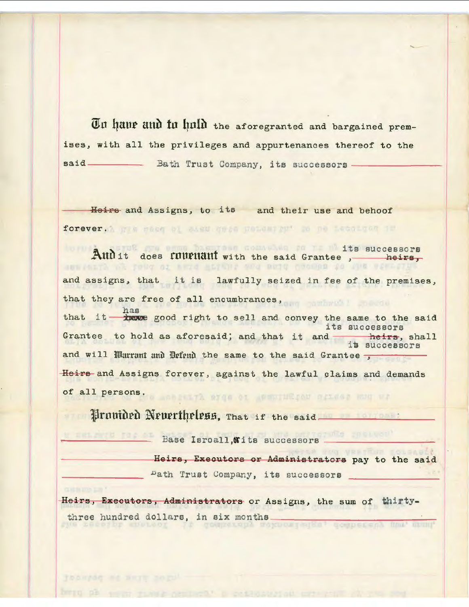Tu haur and in huld the aforegranted and bargained premises, with all the privileges and appurtenances thereof to the - Bath Trust Company, its successors.  $said$ 

Heirs and Assigns, to its and their use and behoof forever. It a meen by sast made personaged to no accorded if

Any when has then compain to you with successors And it does functional with the said Grantee, heirs, tend of said stight and said Coomes to the Ate and assigns, that it is lawfully seized in fee of the premises, that they are free of all encumbrances, has that it - have good right to sell and convey the same to the said its successors Grantee to hold as aforesaid; and that it and theirs, shall heirs, shall and will Warrant and Defend the same to the said Grantee Heirs and Assigns forever, against the lawful claims and demands of all persons. We have a server with the server with the server with the server with the server with the server with the server with the server with the server with the server with the server with the server with the serv

Urnuided Neuertheless, That if the said

Base Isroall, Wits successors

Heirs, Executors or Administrators pay to the said Dath Trust Company, its successors

Heirs, Executors, Administrators or Assigns, the sum of thirtythree hundred dollars, in six months competedy soknowledge, scaperaby mun. mum.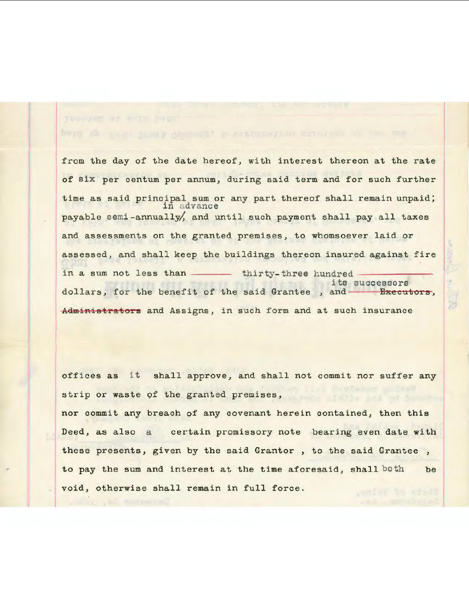from the day of the date hereof, with interest thereon at the rate of six per centum per annum, during said term and for such further time as said principal sum or any part thereof shall remain unpaid;<br>in advance payable semi -annually/, and until such payment shall pay all taxes and assessments on the granted premises, to whomsoever laid or assessed, and shall keep the buildings thereon insured against fire<br>in a sum not less than --- thirty-three hundred ite s <sup>u</sup> ccessors dollars, for the benefit of the said Grantee, and-Administrators and Assigns, in such form and at such insurance

offices as it shall approve, and shall not commit nor suffer any strip or waste of the granted premises,

nor commit any breach of any covenant herein contained, then this Deed, as also a certain promissory note bearing *even* date with these presents, given by the said Grantor , to the said Grantee , to pay the sum and interest at the time aforesaid, shall both be void, otherwise shall remain in full force.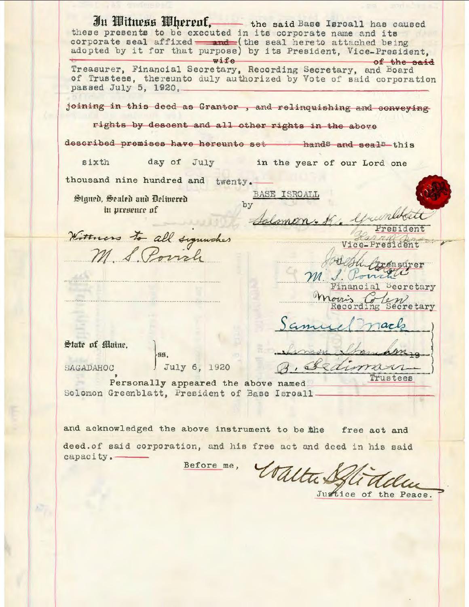In Witness Wherenf, the said Base Isroall has caused these presents to be executed in its corporate name and its corporate seal affixed - and (the seal hereto attached being adopted by it for that purpose) by its President, Vice-President, wife of the said Treasurer, Financial Secretary, Recording Secretary, and Board of Trustees, thereunto duly authorized by Vote of said corporation passed July 5, 1920,joining in this deed as Grantor, and relinquishing and conveying rights by descent and all other rights in the above described premises have hereunto set hands and seals this day of July in the year of our Lord one sixth thousand nine hundred and twenty. BASE ISROALL Signed, Sealed and Delivered by in presence of Wittness to all signishes Vice-President M S. Poinch easurer Financial Decretary Secretary Jack State of Maine. HH. July 6, 1920 uman SAGADAHOC Trustees Personally appeared the above named Solomon Greenblatt, President of Base Isroall. and acknowledged the above instrument to be the free act and deed. of said corporation, and his free act and deed in his said Before me, Voltax capacity.

Justice of the Peace.